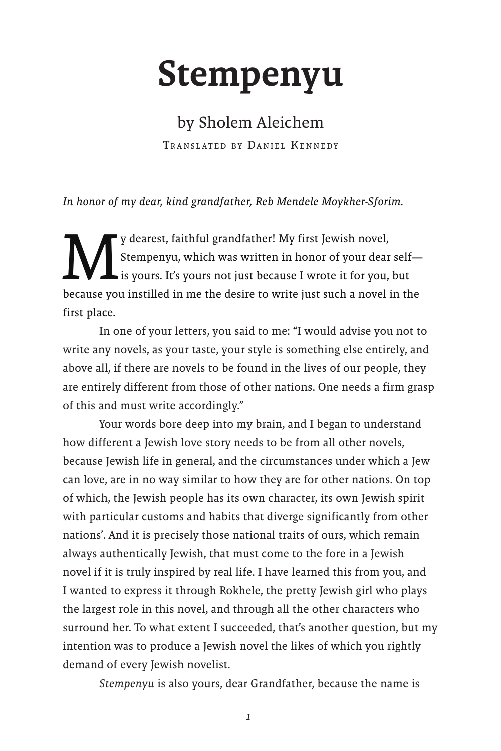## Stempenyu

## by Sholem Aleichem

TRANSLATED BY DANIEL KENNEDY

*In honor of my dear, kind grandfather, Reb Mendele Moykher-Sforim.*

y dearest, faithful grandfather! My first Jewish novel,<br>Stempenyu, which was written in honor of your dear<br>is yours. It's yours not just because I wrote it for you, Stempenyu, which was written in honor of your dear self is yours. It's yours not just because I wrote it for you, but because you instilled in me the desire to write just such a novel in the first place.

In one of your letters, you said to me: "I would advise you not to write any novels, as your taste, your style is something else entirely, and above all, if there are novels to be found in the lives of our people, they are entirely different from those of other nations. One needs a firm grasp of this and must write accordingly."

Your words bore deep into my brain, and I began to understand how different a Jewish love story needs to be from all other novels, because Jewish life in general, and the circumstances under which a Jew can love, are in no way similar to how they are for other nations. On top of which, the Jewish people has its own character, its own Jewish spirit with particular customs and habits that diverge significantly from other nations'. And it is precisely those national traits of ours, which remain always authentically Jewish, that must come to the fore in a Jewish novel if it is truly inspired by real life. I have learned this from you, and I wanted to express it through Rokhele, the pretty Jewish girl who plays the largest role in this novel, and through all the other characters who surround her. To what extent I succeeded, that's another question, but my intention was to produce a Jewish novel the likes of which you rightly demand of every Jewish novelist.

*Stempenyu* is also yours, dear Grandfather, because the name is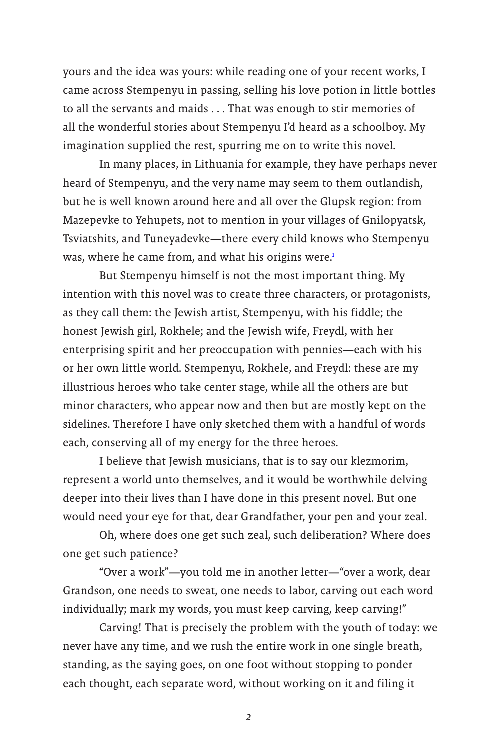yours and the idea was yours: while reading one of your recent works, I came across Stempenyu in passing, selling his love potion in little bottles to all the servants and maids . . . That was enough to stir memories of all the wonderful stories about Stempenyu I'd heard as a schoolboy. My imagination supplied the rest, spurring me on to write this novel.

In many places, in Lithuania for example, they have perhaps never heard of Stempenyu, and the very name may seem to them outlandish, but he is well known around here and all over the Glupsk region: from Mazepevke to Yehupets, not to mention in your villages of Gnilopyatsk, Tsviatshits, and Tuneyadevke—there every child knows who Stempenyu was, where he came from, and what his origins were. $\frac{1}{2}$ 

But Stempenyu himself is not the most important thing. My intention with this novel was to create three characters, or protagonists, as they call them: the Jewish artist, Stempenyu, with his fiddle; the honest Jewish girl, Rokhele; and the Jewish wife, Freydl, with her enterprising spirit and her preoccupation with pennies—each with his or her own little world. Stempenyu, Rokhele, and Freydl: these are my illustrious heroes who take center stage, while all the others are but minor characters, who appear now and then but are mostly kept on the sidelines. Therefore I have only sketched them with a handful of words each, conserving all of my energy for the three heroes.

I believe that Jewish musicians, that is to say our klezmorim, represent a world unto themselves, and it would be worthwhile delving deeper into their lives than I have done in this present novel. But one would need your eye for that, dear Grandfather, your pen and your zeal.

Oh, where does one get such zeal, such deliberation? Where does one get such patience?

"Over a work"—you told me in another letter—"over a work, dear Grandson, one needs to sweat, one needs to labor, carving out each word individually; mark my words, you must keep carving, keep carving!"

Carving! That is precisely the problem with the youth of today: we never have any time, and we rush the entire work in one single breath, standing, as the saying goes, on one foot without stopping to ponder each thought, each separate word, without working on it and filing it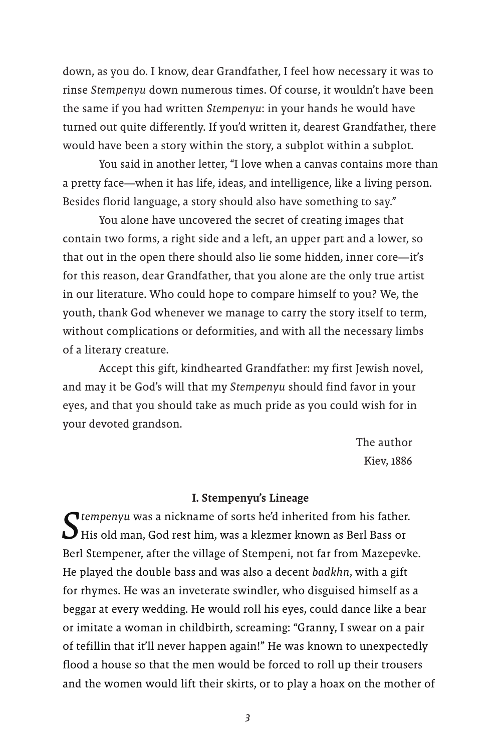down, as you do. I know, dear Grandfather, I feel how necessary it was to rinse *Stempenyu* down numerous times. Of course, it wouldn't have been the same if you had written *Stempenyu*: in your hands he would have turned out quite differently. If you'd written it, dearest Grandfather, there would have been a story within the story, a subplot within a subplot.

You said in another letter, "I love when a canvas contains more than a pretty face—when it has life, ideas, and intelligence, like a living person. Besides florid language, a story should also have something to say."

You alone have uncovered the secret of creating images that contain two forms, a right side and a left, an upper part and a lower, so that out in the open there should also lie some hidden, inner core—it's for this reason, dear Grandfather, that you alone are the only true artist in our literature. Who could hope to compare himself to you? We, the youth, thank God whenever we manage to carry the story itself to term, without complications or deformities, and with all the necessary limbs of a literary creature.

Accept this gift, kindhearted Grandfather: my first Jewish novel, and may it be God's will that my *Stempenyu* should find favor in your eyes, and that you should take as much pride as you could wish for in your devoted grandson.

> The author Kiev, 1886

## I. Stempenyu's Lineage

**T** tempenyu was a nickname of sorts he'd inherited from his father. His old man, God rest him, was a klezmer known as Berl Bass or Berl Stempener, after the village of Stempeni, not far from Mazepevke. He played the double bass and was also a decent *badkhn*, with a gift for rhymes. He was an inveterate swindler, who disguised himself as a beggar at every wedding. He would roll his eyes, could dance like a bear or imitate a woman in childbirth, screaming: "Granny, I swear on a pair of tefillin that it'll never happen again!" He was known to unexpectedly flood a house so that the men would be forced to roll up their trousers and the women would lift their skirts, or to play a hoax on the mother of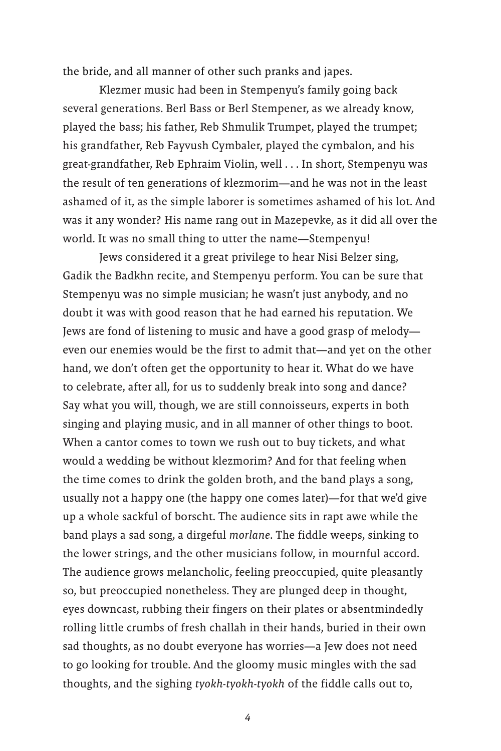the bride, and all manner of other such pranks and japes.

Klezmer music had been in Stempenyu's family going back several generations. Berl Bass or Berl Stempener, as we already know, played the bass; his father, Reb Shmulik Trumpet, played the trumpet; his grandfather, Reb Fayvush Cymbaler, played the cymbalon, and his great-grandfather, Reb Ephraim Violin, well . . . In short, Stempenyu was the result of ten generations of klezmorim—and he was not in the least ashamed of it, as the simple laborer is sometimes ashamed of his lot. And was it any wonder? His name rang out in Mazepevke, as it did all over the world. It was no small thing to utter the name—Stempenyu!

Jews considered it a great privilege to hear Nisi Belzer sing, Gadik the Badkhn recite, and Stempenyu perform. You can be sure that Stempenyu was no simple musician; he wasn't just anybody, and no doubt it was with good reason that he had earned his reputation. We Jews are fond of listening to music and have a good grasp of melody even our enemies would be the first to admit that—and yet on the other hand, we don't often get the opportunity to hear it. What do we have to celebrate, after all, for us to suddenly break into song and dance? Say what you will, though, we are still connoisseurs, experts in both singing and playing music, and in all manner of other things to boot. When a cantor comes to town we rush out to buy tickets, and what would a wedding be without klezmorim? And for that feeling when the time comes to drink the golden broth, and the band plays a song, usually not a happy one (the happy one comes later)—for that we'd give up a whole sackful of borscht. The audience sits in rapt awe while the band plays a sad song, a dirgeful *morlane*. The fiddle weeps, sinking to the lower strings, and the other musicians follow, in mournful accord. The audience grows melancholic, feeling preoccupied, quite pleasantly so, but preoccupied nonetheless. They are plunged deep in thought, eyes downcast, rubbing their fingers on their plates or absentmindedly rolling little crumbs of fresh challah in their hands, buried in their own sad thoughts, as no doubt everyone has worries—a Jew does not need to go looking for trouble. And the gloomy music mingles with the sad thoughts, and the sighing *tyokh-tyokh-tyokh* of the fiddle calls out to,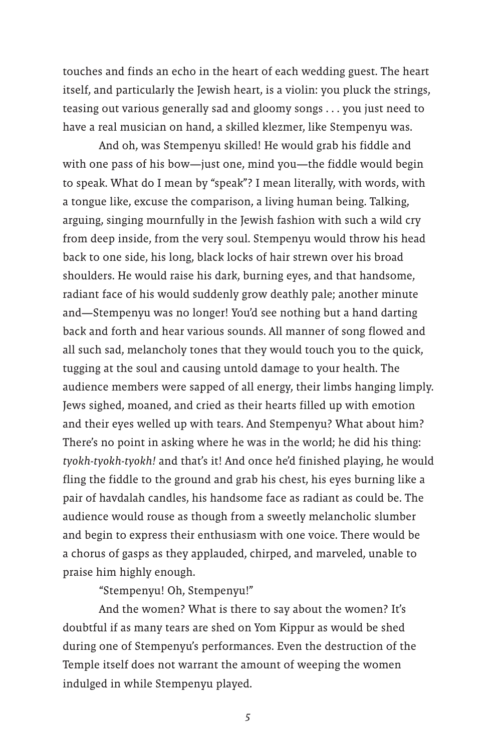touches and finds an echo in the heart of each wedding guest. The heart itself, and particularly the Jewish heart, is a violin: you pluck the strings, teasing out various generally sad and gloomy songs . . . you just need to have a real musician on hand, a skilled klezmer, like Stempenyu was.

And oh, was Stempenyu skilled! He would grab his fiddle and with one pass of his bow—just one, mind you—the fiddle would begin to speak. What do I mean by "speak"? I mean literally, with words, with a tongue like, excuse the comparison, a living human being. Talking, arguing, singing mournfully in the Jewish fashion with such a wild cry from deep inside, from the very soul. Stempenyu would throw his head back to one side, his long, black locks of hair strewn over his broad shoulders. He would raise his dark, burning eyes, and that handsome, radiant face of his would suddenly grow deathly pale; another minute and—Stempenyu was no longer! You'd see nothing but a hand darting back and forth and hear various sounds. All manner of song flowed and all such sad, melancholy tones that they would touch you to the quick, tugging at the soul and causing untold damage to your health. The audience members were sapped of all energy, their limbs hanging limply. Jews sighed, moaned, and cried as their hearts filled up with emotion and their eyes welled up with tears. And Stempenyu? What about him? There's no point in asking where he was in the world; he did his thing: *tyokh-tyokh-tyokh!* and that's it! And once he'd finished playing, he would fling the fiddle to the ground and grab his chest, his eyes burning like a pair of havdalah candles, his handsome face as radiant as could be. The audience would rouse as though from a sweetly melancholic slumber and begin to express their enthusiasm with one voice. There would be a chorus of gasps as they applauded, chirped, and marveled, unable to praise him highly enough.

"Stempenyu! Oh, Stempenyu!"

And the women? What is there to say about the women? It's doubtful if as many tears are shed on Yom Kippur as would be shed during one of Stempenyu's performances. Even the destruction of the Temple itself does not warrant the amount of weeping the women indulged in while Stempenyu played.